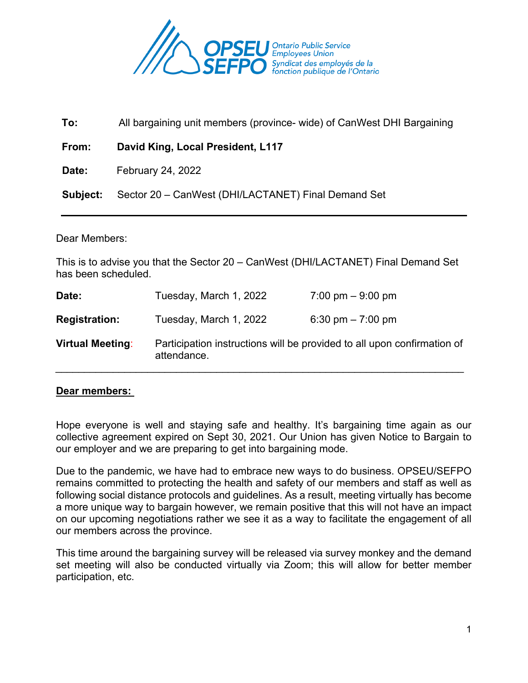

 **To:** All bargaining unit members (province- wide) of CanWest DHI Bargaining

 **From: David King, Local President, L117**

**Date:** February 24, 2022

**Subject:** Sector 20 – CanWest (DHI/LACTANET) Final Demand Set

#### Dear Members:

This is to advise you that the Sector 20 – CanWest (DHI/LACTANET) Final Demand Set has been scheduled.

| Date:                   | Tuesday, March 1, 2022 | 7:00 pm $-9:00$ pm                                                      |
|-------------------------|------------------------|-------------------------------------------------------------------------|
| <b>Registration:</b>    | Tuesday, March 1, 2022 | 6:30 pm $-7:00$ pm                                                      |
| <b>Virtual Meeting:</b> | attendance.            | Participation instructions will be provided to all upon confirmation of |

### **Dear members:**

Hope everyone is well and staying safe and healthy. It's bargaining time again as our collective agreement expired on Sept 30, 2021. Our Union has given Notice to Bargain to our employer and we are preparing to get into bargaining mode.

Due to the pandemic, we have had to embrace new ways to do business. OPSEU/SEFPO remains committed to protecting the health and safety of our members and staff as well as following social distance protocols and guidelines. As a result, meeting virtually has become a more unique way to bargain however, we remain positive that this will not have an impact on our upcoming negotiations rather we see it as a way to facilitate the engagement of all our members across the province.

This time around the bargaining survey will be released via survey monkey and the demand set meeting will also be conducted virtually via Zoom; this will allow for better member participation, etc.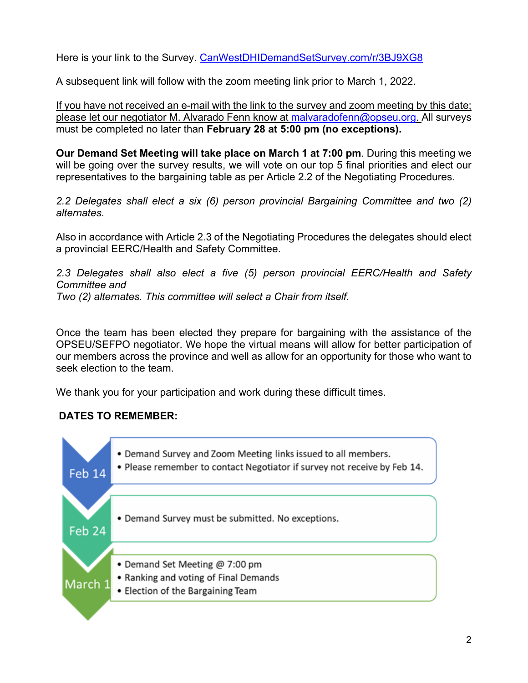Here is your link to the Survey. [CanWestDHIDemandSetSurvey.com/r/3BJ9XG8](https://www.surveymonkey.com/r/3BJ9XG8)

A subsequent link will follow with the zoom meeting link prior to March 1, 2022.

If you have not received an e-mail with the link to the survey and zoom meeting by this date; please let our negotiator M. Alvarado Fenn know at [malvaradofenn@opseu.org.](mailto:malvaradofenn@opseu.org) All surveys must be completed no later than **February 28 at 5:00 pm (no exceptions).** 

**Our Demand Set Meeting will take place on March 1 at 7:00 pm**. During this meeting we will be going over the survey results, we will vote on our top 5 final priorities and elect our representatives to the bargaining table as per Article 2.2 of the Negotiating Procedures.

*2.2 Delegates shall elect a six (6) person provincial Bargaining Committee and two (2) alternates.*

Also in accordance with Article 2.3 of the Negotiating Procedures the delegates should elect a provincial EERC/Health and Safety Committee.

*2.3 Delegates shall also elect a five (5) person provincial EERC/Health and Safety Committee and Two (2) alternates. This committee will select a Chair from itself.*

Once the team has been elected they prepare for bargaining with the assistance of the OPSEU/SEFPO negotiator. We hope the virtual means will allow for better participation of our members across the province and well as allow for an opportunity for those who want to seek election to the team.

We thank you for your participation and work during these difficult times.

# **DATES TO REMEMBER:**

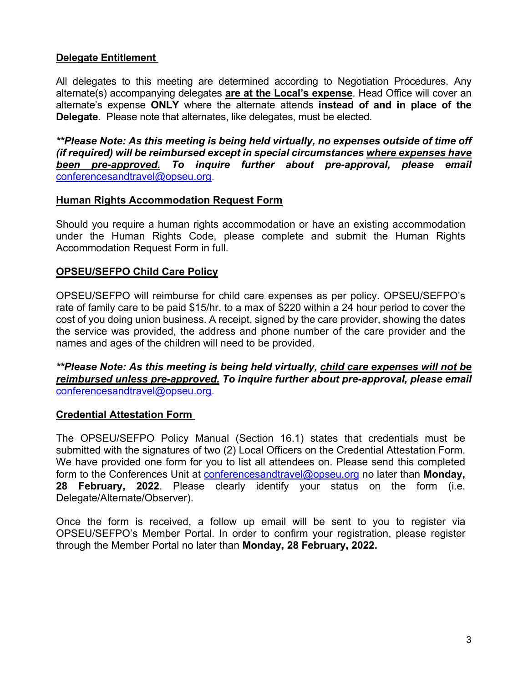# **Delegate Entitlement**

All delegates to this meeting are determined according to Negotiation Procedures. Any alternate(s) accompanying delegates **are at the Local's expense**. Head Office will cover an alternate's expense **ONLY** where the alternate attends **instead of and in place of the Delegate**. Please note that alternates, like delegates, must be elected.

*\*\*Please Note: As this meeting is being held virtually, no expenses outside of time off (if required) will be reimbursed except in special circumstances where expenses have been pre-approved. To inquire further about pre-approval, please email* [conferencesandtravel@opseu.org.](mailto:conferencesandtravel@opseu.org)

### **Human Rights Accommodation Request Form**

Should you require a human rights accommodation or have an existing accommodation under the Human Rights Code, please complete and submit the Human Rights Accommodation Request Form in full.

## **OPSEU/SEFPO Child Care Policy**

OPSEU/SEFPO will reimburse for child care expenses as per policy. OPSEU/SEFPO's rate of family care to be paid \$15/hr. to a max of \$220 within a 24 hour period to cover the cost of you doing union business. A receipt, signed by the care provider, showing the dates the service was provided, the address and phone number of the care provider and the names and ages of the children will need to be provided.

*\*\*Please Note: As this meeting is being held virtually, child care expenses will not be reimbursed unless pre-approved. To inquire further about pre-approval, please email* [conferencesandtravel@opseu.org.](mailto:conferencesandtravel@opseu.org)

## **Credential Attestation Form**

The OPSEU/SEFPO Policy Manual (Section 16.1) states that credentials must be submitted with the signatures of two (2) Local Officers on the Credential Attestation Form. We have provided one form for you to list all attendees on. Please send this completed form to the Conferences Unit at [conferencesandtravel@opseu.org](mailto:conferencesandtravel@opseu.org) no later than **Monday, 28 February, 2022**. Please clearly identify your status on the form (i.e. Delegate/Alternate/Observer).

Once the form is received, a follow up email will be sent to you to register via OPSEU/SEFPO's Member Portal. In order to confirm your registration, please register through the Member Portal no later than **Monday, 28 February, 2022.**